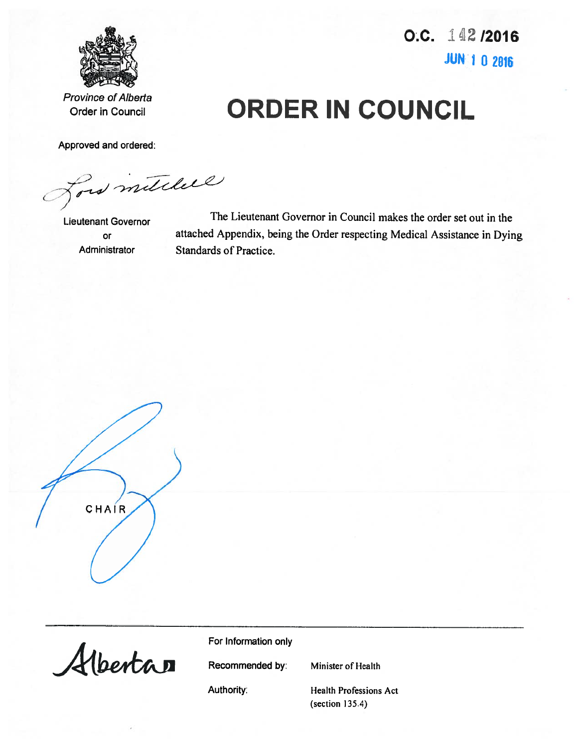

O.C. 142/2016 **JUN 1 0 2016** 

**Province of Alberta Order in Council** 

Approved and ordered:

is mitchell

**Lieutenant Governor** or Administrator

The Lieutenant Governor in Council makes the order set out in the attached Appendix, being the Order respecting Medical Assistance in Dying Standards of Practice.

**ORDER IN COUNCIL** 

CHAIR



For Information only

Recommended by:

Minister of Health

Authority:

**Health Professions Act**  $(section 135.4)$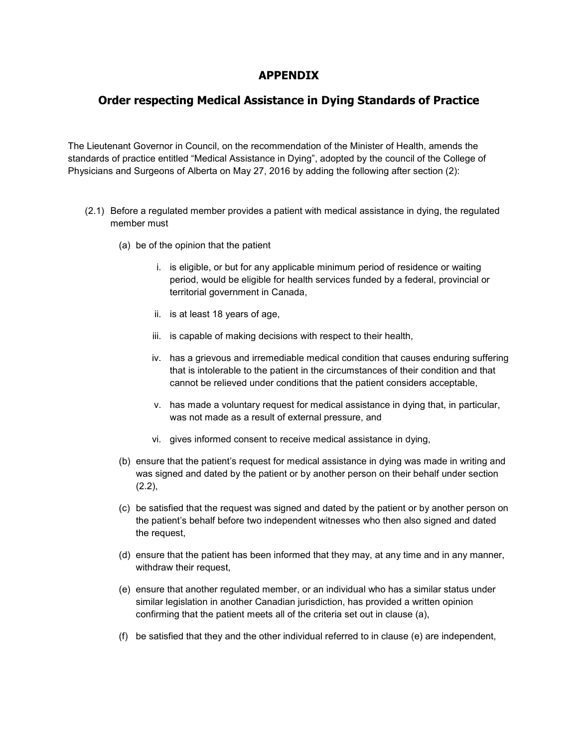## **APPENDIX**

## **Order respecting Medical Assistance in Dying Standards of Practice**

The Lieutenant Governor in Council, on the recommendation of the Minister of Health, amends the standards of practice entitled "Medical Assistance in Dying", adopted by the council of the College of Physicians and Surgeons of Alberta on May 27, 2016 by adding the following after section (2):

- (2.1) Before a regulated member provides a patient with medical assistance in dying, the regulated member must
	- (a) be of the opinion that the patient
		- i. is eligible, or but for any applicable minimum period of residence or waiting period, would be eligible for health services funded by a federal, provincial or territorial government in Canada,
		- ii. is at least 18 years of age,
		- iii. is capable of making decisions with respect to their health,
		- iv. has a grievous and irremediable medical condition that causes enduring suffering that is intolerable to the patient in the circumstances of their condition and that cannot be relieved under conditions that the patient considers acceptable,
		- v. has made a voluntary request for medical assistance in dying that, in particular, was not made as a result of external pressure, and
		- vi. gives informed consent to receive medical assistance in dying,
	- (b) ensure that the patient's request for medical assistance in dying was made in writing and was signed and dated by the patient or by another person on their behalf under section  $(2.2)$ ,
	- (c) be satisfied that the request was signed and dated by the patient or by another person on the patient's behalf before two independent witnesses who then also signed and dated the request,
	- (d) ensure that the patient has been informed that they may, at any time and in any manner, withdraw their request,
	- (e) ensure that another regulated member, or an individual who has a similar status under similar legislation in another Canadian jurisdiction, has provided a written opinion confirming that the patient meets all of the criteria set out in clause (a),
	- (f) be satisfied that they and the other individual referred to in clause (e) are independent,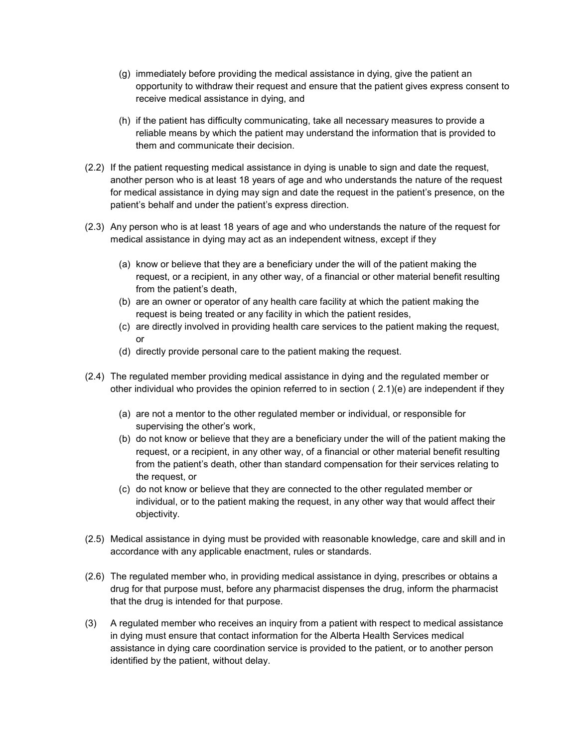- (g) immediately before providing the medical assistance in dying, give the patient an opportunity to withdraw their request and ensure that the patient gives express consent to receive medical assistance in dying, and
- (h) if the patient has difficulty communicating, take all necessary measures to provide a reliable means by which the patient may understand the information that is provided to them and communicate their decision.
- (2.2) If the patient requesting medical assistance in dying is unable to sign and date the request, another person who is at least 18 years of age and who understands the nature of the request for medical assistance in dying may sign and date the request in the patient's presence, on the patient's behalf and under the patient's express direction.
- (2.3) Any person who is at least 18 years of age and who understands the nature of the request for medical assistance in dying may act as an independent witness, except if they
	- (a) know or believe that they are a beneficiary under the will of the patient making the request, or a recipient, in any other way, of a financial or other material benefit resulting from the patient's death,
	- (b) are an owner or operator of any health care facility at which the patient making the request is being treated or any facility in which the patient resides,
	- (c) are directly involved in providing health care services to the patient making the request, or
	- (d) directly provide personal care to the patient making the request.
- (2.4) The regulated member providing medical assistance in dying and the regulated member or other individual who provides the opinion referred to in section ( 2.1)(e) are independent if they
	- (a) are not a mentor to the other regulated member or individual, or responsible for supervising the other's work,
	- (b) do not know or believe that they are a beneficiary under the will of the patient making the request, or a recipient, in any other way, of a financial or other material benefit resulting from the patient's death, other than standard compensation for their services relating to the request, or
	- (c) do not know or believe that they are connected to the other regulated member or individual, or to the patient making the request, in any other way that would affect their objectivity.
- (2.5) Medical assistance in dying must be provided with reasonable knowledge, care and skill and in accordance with any applicable enactment, rules or standards.
- (2.6) The regulated member who, in providing medical assistance in dying, prescribes or obtains a drug for that purpose must, before any pharmacist dispenses the drug, inform the pharmacist that the drug is intended for that purpose.
- (3) A regulated member who receives an inquiry from a patient with respect to medical assistance in dying must ensure that contact information for the Alberta Health Services medical assistance in dying care coordination service is provided to the patient, or to another person identified by the patient, without delay.